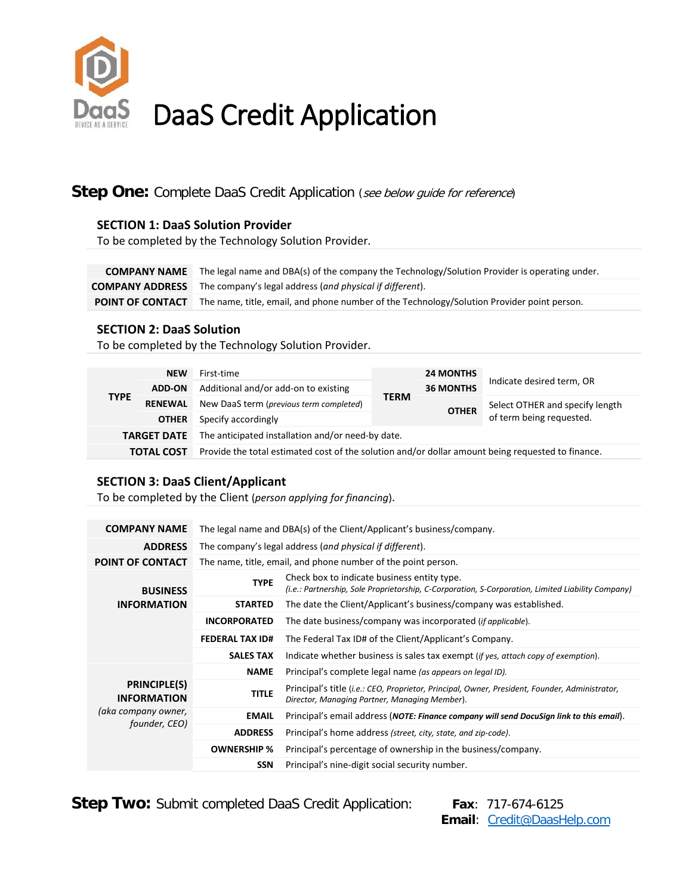

# DaaS Credit Application

### **Step One:** Complete DaaS Credit Application (see below guide for reference)

#### **SECTION 1: DaaS Solution Provider**

To be completed by the Technology Solution Provider.

**COMPANY NAME** The legal name and DBA(s) of the company the Technology/Solution Provider is operating under. **COMPANY ADDRESS** The company's legal address (*and physical if different*). **POINT OF CONTACT** The name, title, email, and phone number of the Technology/Solution Provider point person.

#### **SECTION 2: DaaS Solution**

To be completed by the Technology Solution Provider.

| <b>TYPE</b>        | <b>NEW</b><br><b>ADD-ON</b><br><b>RENEWAL</b><br><b>OTHER</b> | First-time<br>Additional and/or add-on to existing<br>New DaaS term (previous term completed)<br>Specify accordingly | <b>TERM</b> | <b>24 MONTHS</b><br><b>36 MONTHS</b><br><b>OTHER</b> | Indicate desired term, OR<br>Select OTHER and specify length<br>of term being requested. |  |  |  |  |  |
|--------------------|---------------------------------------------------------------|----------------------------------------------------------------------------------------------------------------------|-------------|------------------------------------------------------|------------------------------------------------------------------------------------------|--|--|--|--|--|
| <b>TARGET DATE</b> |                                                               | The anticipated installation and/or need-by date.                                                                    |             |                                                      |                                                                                          |  |  |  |  |  |
| <b>TOTAL COST</b>  |                                                               | Provide the total estimated cost of the solution and/or dollar amount being requested to finance.                    |             |                                                      |                                                                                          |  |  |  |  |  |

#### **SECTION 3: DaaS Client/Applicant**

To be completed by the Client (*person applying for financing*).

| <b>COMPANY NAME</b>                       | The legal name and DBA(s) of the Client/Applicant's business/company. |                                                                                                                                                  |  |  |  |  |  |  |
|-------------------------------------------|-----------------------------------------------------------------------|--------------------------------------------------------------------------------------------------------------------------------------------------|--|--|--|--|--|--|
| <b>ADDRESS</b>                            | The company's legal address (and physical if different).              |                                                                                                                                                  |  |  |  |  |  |  |
| POINT OF CONTACT                          | The name, title, email, and phone number of the point person.         |                                                                                                                                                  |  |  |  |  |  |  |
| <b>BUSINESS</b>                           | <b>TYPE</b>                                                           | Check box to indicate business entity type.<br>(i.e.: Partnership, Sole Proprietorship, C-Corporation, S-Corporation, Limited Liability Company) |  |  |  |  |  |  |
| <b>INFORMATION</b>                        | <b>STARTED</b>                                                        | The date the Client/Applicant's business/company was established.                                                                                |  |  |  |  |  |  |
|                                           | <b>INCORPORATED</b>                                                   | The date business/company was incorporated ( <i>if applicable</i> ).                                                                             |  |  |  |  |  |  |
|                                           | <b>FEDERAL TAX ID#</b>                                                | The Federal Tax ID# of the Client/Applicant's Company.                                                                                           |  |  |  |  |  |  |
|                                           | <b>SALES TAX</b>                                                      | Indicate whether business is sales tax exempt (if yes, attach copy of exemption).                                                                |  |  |  |  |  |  |
|                                           | <b>NAME</b>                                                           | Principal's complete legal name (as appears on legal ID).                                                                                        |  |  |  |  |  |  |
| <b>PRINCIPLE(S)</b><br><b>INFORMATION</b> | <b>TITLE</b>                                                          | Principal's title (i.e.: CEO, Proprietor, Principal, Owner, President, Founder, Administrator,<br>Director, Managing Partner, Managing Member).  |  |  |  |  |  |  |
| (aka company owner,<br>founder, CEO)      | <b>EMAIL</b>                                                          | Principal's email address (NOTE: Finance company will send DocuSign link to this email).                                                         |  |  |  |  |  |  |
|                                           | <b>ADDRESS</b>                                                        | Principal's home address (street, city, state, and zip-code).                                                                                    |  |  |  |  |  |  |
|                                           | <b>OWNERSHIP %</b>                                                    | Principal's percentage of ownership in the business/company.                                                                                     |  |  |  |  |  |  |
|                                           | <b>SSN</b>                                                            | Principal's nine-digit social security number.                                                                                                   |  |  |  |  |  |  |

**Step Two:** Submit completed DaaS Credit Application: Fax: 717-674-6125

 **Email**: [Credit@DaasHelp.com](mailto:Credit@DaasHelp.com)